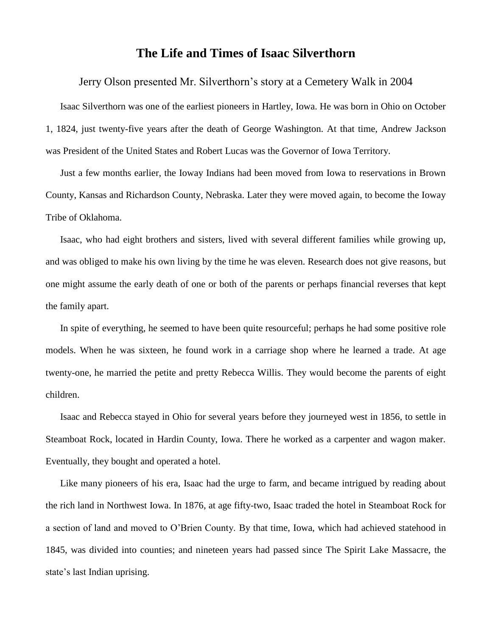## **The Life and Times of Isaac Silverthorn**

Jerry Olson presented Mr. Silverthorn's story at a Cemetery Walk in 2004

Isaac Silverthorn was one of the earliest pioneers in Hartley, Iowa. He was born in Ohio on October 1, 1824, just twenty-five years after the death of George Washington. At that time, Andrew Jackson was President of the United States and Robert Lucas was the Governor of Iowa Territory.

Just a few months earlier, the Ioway Indians had been moved from Iowa to reservations in Brown County, Kansas and Richardson County, Nebraska. Later they were moved again, to become the Ioway Tribe of Oklahoma.

Isaac, who had eight brothers and sisters, lived with several different families while growing up, and was obliged to make his own living by the time he was eleven. Research does not give reasons, but one might assume the early death of one or both of the parents or perhaps financial reverses that kept the family apart.

In spite of everything, he seemed to have been quite resourceful; perhaps he had some positive role models. When he was sixteen, he found work in a carriage shop where he learned a trade. At age twenty-one, he married the petite and pretty Rebecca Willis. They would become the parents of eight children.

Isaac and Rebecca stayed in Ohio for several years before they journeyed west in 1856, to settle in Steamboat Rock, located in Hardin County, Iowa. There he worked as a carpenter and wagon maker. Eventually, they bought and operated a hotel.

Like many pioneers of his era, Isaac had the urge to farm, and became intrigued by reading about the rich land in Northwest Iowa. In 1876, at age fifty-two, Isaac traded the hotel in Steamboat Rock for a section of land and moved to O'Brien County. By that time, Iowa, which had achieved statehood in 1845, was divided into counties; and nineteen years had passed since The Spirit Lake Massacre, the state's last Indian uprising.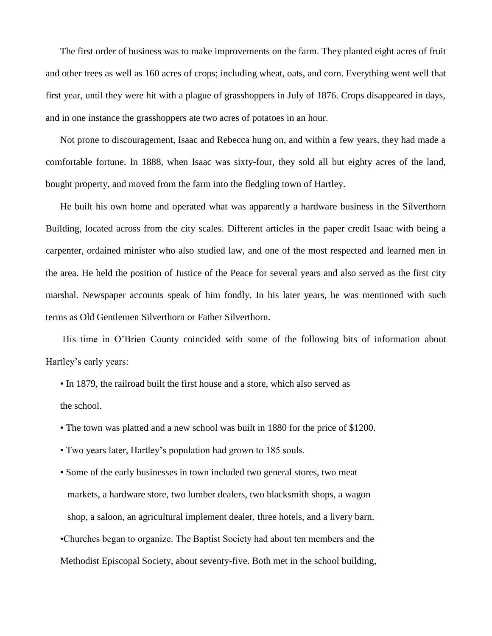The first order of business was to make improvements on the farm. They planted eight acres of fruit and other trees as well as 160 acres of crops; including wheat, oats, and corn. Everything went well that first year, until they were hit with a plague of grasshoppers in July of 1876. Crops disappeared in days, and in one instance the grasshoppers ate two acres of potatoes in an hour.

Not prone to discouragement, Isaac and Rebecca hung on, and within a few years, they had made a comfortable fortune. In 1888, when Isaac was sixty-four, they sold all but eighty acres of the land, bought property, and moved from the farm into the fledgling town of Hartley.

He built his own home and operated what was apparently a hardware business in the Silverthorn Building, located across from the city scales. Different articles in the paper credit Isaac with being a carpenter, ordained minister who also studied law, and one of the most respected and learned men in the area. He held the position of Justice of the Peace for several years and also served as the first city marshal. Newspaper accounts speak of him fondly. In his later years, he was mentioned with such terms as Old Gentlemen Silverthorn or Father Silverthorn.

His time in O'Brien County coincided with some of the following bits of information about Hartley's early years:

• In 1879, the railroad built the first house and a store, which also served as the school.

- The town was platted and a new school was built in 1880 for the price of \$1200.
- Two years later, Hartley's population had grown to 185 souls.
- Some of the early businesses in town included two general stores, two meat markets, a hardware store, two lumber dealers, two blacksmith shops, a wagon shop, a saloon, an agricultural implement dealer, three hotels, and a livery barn. •Churches began to organize. The Baptist Society had about ten members and the Methodist Episcopal Society, about seventy-five. Both met in the school building,